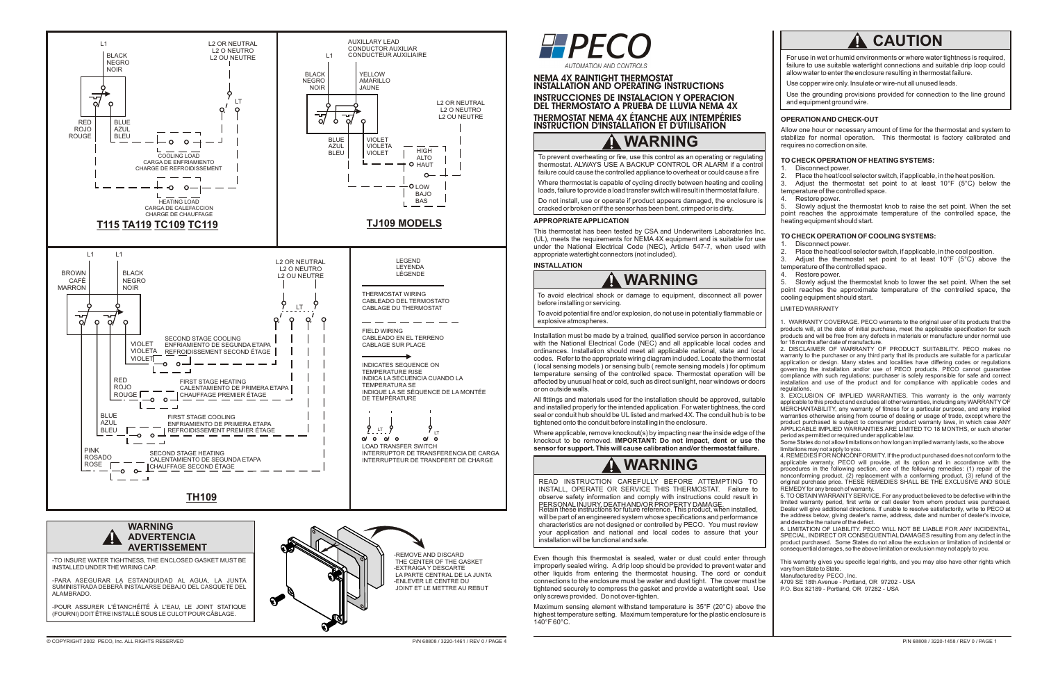# **WARNING**

To prevent overheating or fire, use this control as an operating or regulating thermostat. ALWAYS USE A BACKUP CONTROL OR ALARM if a control failure could cause the controlled appliance to overheat or could cause a fire

Where thermostat is capable of cycling directly between heating and cooling loads, failure to provide a load transfer switch will result in thermostat failure.

Do not install, use or operate if product appears damaged, the enclosure is cracked or broken or if the sensor has been bent, crimped or is dirty.

#### **APPROPRIATE APPLICATION**

This thermostat has been tested by CSA and Underwriters Laboratories Inc. (UL), meets the requirements for NEMA 4X equipment and is suitable for use under the National Electrical Code (NEC), Article 547-7, when used with appropriate watertight connectors (not included).

#### **INSTALLATION**

Installation must be made by a trained, qualified service person in accordance with the National Electrical Code (NEC) and all applicable local codes and ordinances. Installation should meet all applicable national, state and local codes. Refer to the appropriate wiring diagram included. Locate the thermostat ( local sensing models ) or sensing bulb ( remote sensing models ) for optimum temperature sensing of the controlled space. Thermostat operation will be affected by unusual heat or cold, such as direct sunlight, near windows or doors or on outside walls.

All fittings and materials used for the installation should be approved, suitable and installed properly for the intended application. For water tightness, the cord seal or conduit hub should be UL listed and marked 4X. The conduit hub is to be tightened onto the conduit before installing in the enclosure.

Where applicable, remove knockout(s) by impacting near the inside edge of the knockout to be removed. **IMPORTANT: Do not impact, dent or use the sensor for support. This will cause calibration and/or thermostat failure.**

Adjust the thermostat set point to at least 10°F (5°C) below the temperature of the controlled space.

To avoid electrical shock or damage to equipment, disconnect all power before installing or servicing.

To avoid potential fire and/or explosion, do not use in potentially flammable or explosive atmospheres.

# **WARNING**

# **WARNING**

Use the grounding provisions provided for connection to the line ground and equipment ground wire.

READ INSTRUCTION CAREFULLY BEFORE ATTEMPTING TO INSTALL, OPERATE OR SERVICE THIS THERMOSTAT. Failure to observe safety information and comply with instructions could result in PERSONAL INJURY, DEATH AND/OR PROPERTY DAMAGE. Retain these instructions for future reference. This product, when installed, will be part of an engineered system whose specifications and performance characteristics are not designed or controlled by PECO. You must review your application and national and local codes to assure that your installation will be functional and safe.

Even though this thermostat is sealed, water or dust could enter through improperly sealed wiring. A drip loop should be provided to prevent water and other liquids from entering the thermostat housing. The cord or conduit connections to the enclosure must be water and dust tight. The cover must be tightened securely to compress the gasket and provide a watertight seal. Use only screws provided. Do not over-tighten.

Maximum sensing element withstand temperature is 35°F (20°C) above the highest temperature setting. Maximum temperature for the plastic enclosure is 140°F 60°C.

### **OPERATION AND CHECK-OUT**

Allow one hour or necessary amount of time for the thermostat and system to stabilize for normal operation. This thermostat is factory calibrated and requires no correction on site.

### **TO CHECK OPERATION OF HEATING SYSTEMS:**

1. Disconnect power.<br>2. Place the heat/coo

2. Place the heat/cool selector switch, if applicable, in the heat position.<br>3. Adjust the thermostat set point to at least 10°F (5°C) below

4. Restore power.

5. Slowly adjust the thermostat knob to raise the set point. When the set point reaches the approximate temperature of the controlled space, the heating equipment should start.

### **TO CHECK OPERATION OF COOLING SYSTEMS:**

1. Disconnect power.

2. Place the heat/cool selector switch, if applicable, in the cool position.<br>3. Adiust the thermostat set point to at least  $10^{\circ}F$  (5°C) above

Adjust the thermostat set point to at least 10°F (5°C) above the temperature of the controlled space.<br>4. Restore power.

Restore power.

5. Slowly adjust the thermostat knob to lower the set point. When the set point reaches the approximate temperature of the controlled space, the cooling equipment should start.

For use in wet or humid environments or where water tightness is required, failure to use suitable watertight connections and suitable drip loop could allow water to enter the enclosure resulting in thermostat failure.

Use copper wire only. Insulate or wire-nut all unused leads.

### LIMITED WARRANTY

1. WARRANTY COVERAGE. PECO warrants to the original user of its products that the products will, at the date of initial purchase, meet the applicable specification for such products and will be free from any defects in materials or manufacture under normal use for 18 months after date of manufacture.

2. DISCLAIMER OF WARRANTY OF PRODUCT SUITABILITY. PECO makes no warranty to the purchaser or any third party that its products are suitable for a particular application or design. Many states and localities have differing codes or regulations governing the installation and/or use of PECO products. PECO cannot guarantee compliance with such regulations; purchaser is solely responsible for safe and correct installation and use of the product and for compliance with applicable codes and regulations.

3. EXCLUSION OF IMPLIED WARRANTIES. This warranty is the only warranty applicable to this product and excludes all other warranties, including any WARRANTY OF MERCHANTABILITY, any warranty of fitness for a particular purpose, and any implied warranties otherwise arising from course of dealing or usage of trade, except where the product purchased is subject to consumer product warranty laws, in which case ANY APPLICABLE IMPLIED WARRANTIES ARE LIMITED TO 18 MONTHS, or such shorter period as permitted or required under applicable law.

Some States do not allow limitations on how long an implied warranty lasts, so the above limitations may not apply to you.

4. REMEDIES FOR NONCONFORMITY. If the product purchased does not conform to the applicable warranty, PECO will provide, at its option and in accordance with the procedures in the following section, one of the following remedies: (1) repair of the nonconforming product, (2) replacement with a conforming product, (3) refund of the original purchase price. THESE REMEDIES SHALL BE THE EXCLUSIVE AND SOLE REMEDY for any breach of warranty.

5. TO OBTAIN WARRANTY SERVICE. For any product believed to be defective within the limited warranty period, first write or call dealer from whom product was purchased. Dealer will give additional directions. If unable to resolve satisfactorily, write to PECO at the address below, giving dealer's name, address, date and number of dealer's invoice, and describe the nature of the defect.

6. LIMITATION OF LIABILITY. PECO WILL NOT BE LIABLE FOR ANY INCIDENTAL, SPECIAL, INDIRECT OR CONSEQUENTIAL DAMAGES resulting from any defect in the product purchased. Some States do not allow the exclusion or limitation of incidental or consequential damages, so the above limitation or exclusion may not apply to you.

This warranty gives you specific legal rights, and you may also have other rights which vary from State to State.

Manufactured by PECO , Inc.

4709 SE 18th Avenue - Portland, OR 97202 - USA

P.O. Box 82189 - Portland, OR 97282 - USA

## **NEMA 4X RAINTIGHT THERMOSTAT INSTALLATION AND OPERATING INSTRUCTIONS INSTRUCCIONES DE INSTALACION Y OPERACION DEL THERMOSTATO A PRUEBA DE LLUVIA NEMA 4X THERMOSTAT NEMA 4X ÉTANCHE AUX INTEMPÉRIES INSTRUCTION D'INSTALLATION ET D'UTILISATION**





# **A CAUTION**